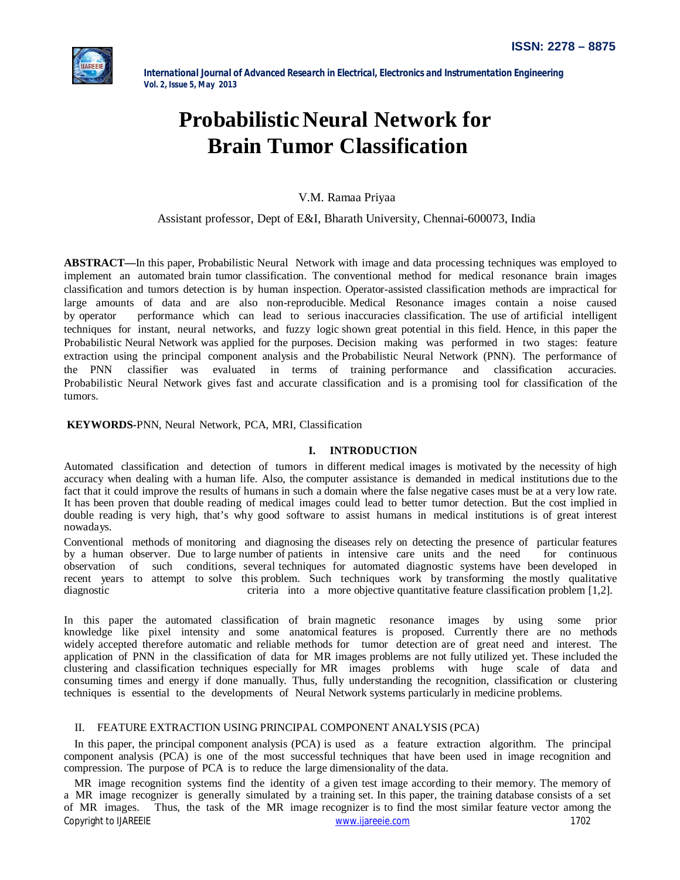

# **Probabilistic Neural Network for Brain Tumor Classification**

V.M. Ramaa Priyaa

Assistant professor, Dept of E&I, Bharath University, Chennai-600073, India

**ABSTRACT—**In this paper, Probabilistic Neural Network with image and data processing techniques was employed to implement an automated brain tumor classification. The conventional method for medical resonance brain images classification and tumors detection is by human inspection. Operator-assisted classification methods are impractical for large amounts of data and are also non-reproducible. Medical Resonance images contain a noise caused by operator performance which can lead to serious inaccuracies classification. The use of artificial intelligent techniques for instant, neural networks, and fuzzy logic shown great potential in this field. Hence, in this paper the Probabilistic Neural Network was applied for the purposes. Decision making was performed in two stages: feature extraction using the principal component analysis and the Probabilistic Neural Network (PNN). The performance of the PNN classifier was evaluated in terms of training performance and classification accuracies. Probabilistic Neural Network gives fast and accurate classification and is a promising tool for classification of the tumors.

**KEYWORDS***-*PNN, Neural Network, PCA, MRI, Classification

### **I. INTRODUCTION**

Automated classification and detection of tumors in different medical images is motivated by the necessity of high accuracy when dealing with a human life. Also, the computer assistance is demanded in medical institutions due to the fact that it could improve the results of humans in such a domain where the false negative cases must be at a very low rate. It has been proven that double reading of medical images could lead to better tumor detection. But the cost implied in double reading is very high, that's why good software to assist humans in medical institutions is of great interest nowadays.

Conventional methods of monitoring and diagnosing the diseases rely on detecting the presence of particular features by a human observer. Due to large number of patients in intensive care units and the need for continuous observation of such conditions, several techniques for automated diagnostic systems have been developed in recent years to attempt to solve this problem. Such techniques work by transforming the mostly qualitative diagnostic criteria into a more objective quantitative feature classification problem [1,2].

In this paper the automated classification of brain magnetic resonance images by using some prior knowledge like pixel intensity and some anatomical features is proposed. Currently there are no methods widely accepted therefore automatic and reliable methods for tumor detection are of great need and interest. The application of PNN in the classification of data for MR images problems are not fully utilized yet. These included the clustering and classification techniques especially for MR images problems with huge scale of data and consuming times and energy if done manually. Thus, fully understanding the recognition, classification or clustering techniques is essential to the developments of Neural Network systems particularly in medicine problems.

## II. FEATURE EXTRACTION USING PRINCIPAL COMPONENT ANALYSIS (PCA)

In this paper, the principal component analysis (PCA) is used as a feature extraction algorithm. The principal component analysis (PCA) is one of the most successful techniques that have been used in image recognition and compression. The purpose of PCA is to reduce the large dimensionality of the data.

Copyright to IJAREEIE www.ijareeie.com 1702 MR image recognition systems find the identity of a given test image according to their memory. The memory of a MR image recognizer is generally simulated by a training set. In this paper, the training database consists of a set of MR images. Thus, the task of the MR image recognizer is to find the most similar feature vector among the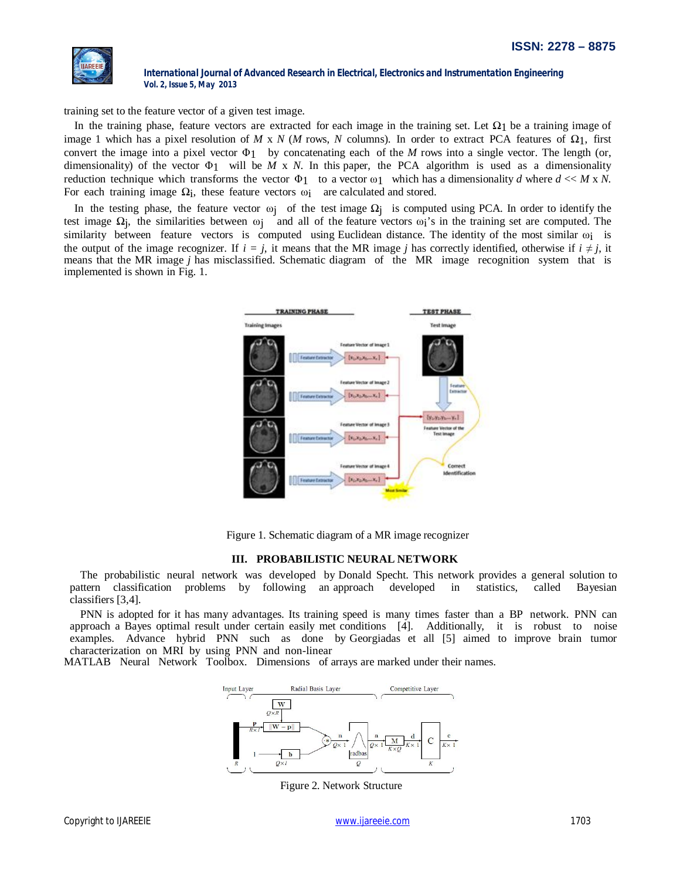

training set to the feature vector of a given test image.

In the training phase, feature vectors are extracted for each image in the training set. Let  $\Omega_1$  be a training image of image 1 which has a pixel resolution of *M* x *N* (*M* rows, *N* columns). In order to extract PCA features of  $Ω_1$ , first convert the image into a pixel vector  $\Phi_1$  by concatenating each of the *M* rows into a single vector. The length (or, dimensionality) of the vector  $\Phi_1$  will be *M* x *N*. In this paper, the PCA algorithm is used as a dimensionality reduction technique which transforms the vector  $\Phi_1$  to a vector  $\omega_1$  which has a dimensionality *d* where  $d \ll M x N$ . For each training image  $\Omega_i$ , these feature vectors  $\omega_i$  are calculated and stored.

In the testing phase, the feature vector  $\omega_i$  of the test image  $\Omega_i$  is computed using PCA. In order to identify the test image  $\Omega_j$ , the similarities between  $\omega_j$  and all of the feature vectors  $\omega_i$ 's in the training set are computed. The similarity between feature vectors is computed using Euclidean distance. The identity of the most similar  $\omega_i$  is the output of the image recognizer. If  $i = j$ , it means that the MR image *j* has correctly identified, otherwise if  $i \neq j$ , it means that the MR image *j* has misclassified. Schematic diagram of the MR image recognition system that is implemented is shown in Fig. 1.



Figure 1. Schematic diagram of a MR image recognizer

#### **III. PROBABILISTIC NEURAL NETWORK**

The probabilistic neural network was developed by Donald Specht. This network provides a general solution to pattern classification problems by following an approach developed in statistics, called Bayesian classifiers [3,4].

PNN is adopted for it has many advantages. Its training speed is many times faster than a BP network. PNN can approach a Bayes optimal result under certain easily met conditions [4]. Additionally, it is robust to noise examples. Advance hybrid PNN such as done by Georgiadas et all [5] aimed to improve brain tumor characterization on MRI by using PNN and non-linear

MATLAB Neural Network Toolbox. Dimensions of arrays are marked under their names.



Figure 2. Network Structure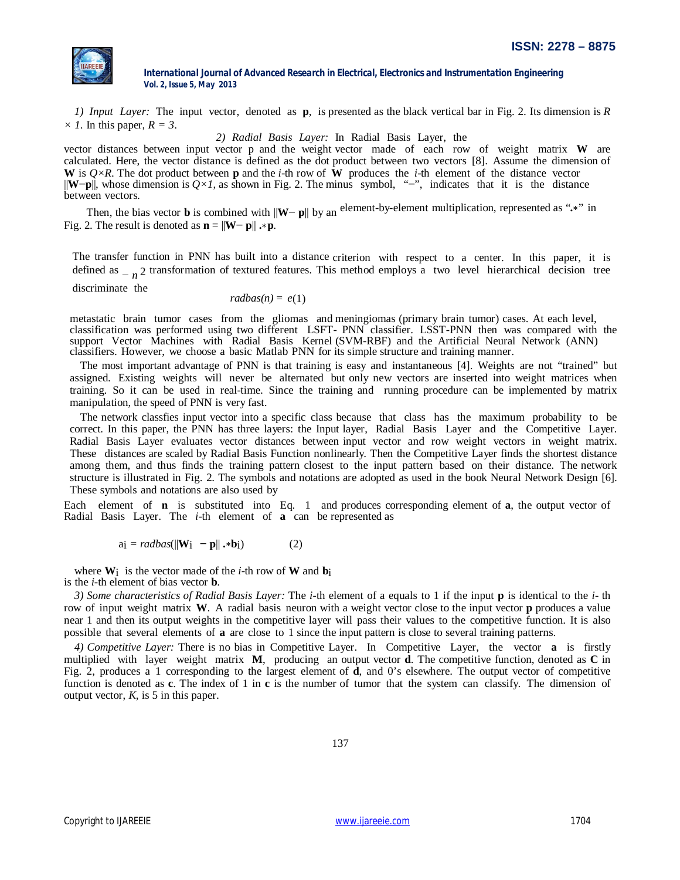

*1) Input Layer:* The input vector, denoted as **p**, is presented as the black vertical bar in Fig. 2. Its dimension is *R*  $\times$  *I*. In this paper,  $R = 3$ .

*2) Radial Basis Layer:* In Radial Basis Layer, the

vector distances between input vector p and the weight vector made of each row of weight matrix **W** are calculated. Here, the vector distance is defined as the dot product between two vectors [8]. Assume the dimension of **W** is  $Q \times R$ . The dot product between **p** and the *i*-th row of **W** produces the *i*-th element of the distance vector ||**W−p**||, whose dimension is *Q×1*, as shown in Fig. 2. The minus symbol, "**−**", indicates that it is the distance between vectors.

Then, the bias vector **b** is combined with ||**W− p**|| by an element-by-element multiplication, represented as "**.**∗" in Fig. 2. The result is denoted as  $\mathbf{n} = ||\mathbf{W} - \mathbf{p}||$   $\cdot \mathbf{*} \mathbf{p}$ .

The transfer function in PNN has built into a distance criterion with respect to a center. In this paper, it is defined as  $- n^2$  transformation of textured features. This method employs a two level hierarchical decision tree

discriminate the

 $radbas(n) = e(1)$ 

metastatic brain tumor cases from the gliomas and meningiomas (primary brain tumor) cases. At each level, classification was performed using two different LSFT- PNN classifier. LSST-PNN then was compared with the support Vector Machines with Radial Basis Kernel (SVM-RBF) and the Artificial Neural Network (ANN) classifiers. However, we choose a basic Matlab PNN for its simple structure and training manner.

The most important advantage of PNN is that training is easy and instantaneous [4]. Weights are not "trained" but assigned. Existing weights will never be alternated but only new vectors are inserted into weight matrices when training. So it can be used in real-time. Since the training and running procedure can be implemented by matrix manipulation, the speed of PNN is very fast.

The network classfies input vector into a specific class because that class has the maximum probability to be correct. In this paper, the PNN has three layers: the Input layer, Radial Basis Layer and the Competitive Layer. Radial Basis Layer evaluates vector distances between input vector and row weight vectors in weight matrix. These distances are scaled by Radial Basis Function nonlinearly. Then the Competitive Layer finds the shortest distance among them, and thus finds the training pattern closest to the input pattern based on their distance. The network structure is illustrated in Fig. 2. The symbols and notations are adopted as used in the book Neural Network Design [6]. These symbols and notations are also used by

Each element of **n** is substituted into Eq. 1 and produces corresponding element of **a**, the output vector of Radial Basis Layer. The *i*-th element of **a** can be represented as

$$
a_i = \text{radbas}(\|\mathbf{W}_i - \mathbf{p}\| \cdot \mathbf{*b}_i) \tag{2}
$$

where  $W_i$  is the vector made of the *i*-th row of  $W$  and  $b_i$ is the *i*-th element of bias vector **b**.

*3) Some characteristics of Radial Basis Layer:* The *i*-th element of a equals to 1 if the input **p** is identical to the *i*- th row of input weight matrix **W**. A radial basis neuron with a weight vector close to the input vector **p** produces a value near 1 and then its output weights in the competitive layer will pass their values to the competitive function. It is also possible that several elements of **a** are close to 1 since the input pattern is close to several training patterns.

*4) Competitive Layer:* There is no bias in Competitive Layer. In Competitive Layer, the vector **a** is firstly multiplied with layer weight matrix **M**, producing an output vector **d**. The competitive function, denoted as **C** in Fig. 2, produces a 1 corresponding to the largest element of **d**, and 0's elsewhere. The output vector of competitive function is denoted as **c**. The index of 1 in **c** is the number of tumor that the system can classify. The dimension of output vector,  $K$ , is  $5$  in this paper.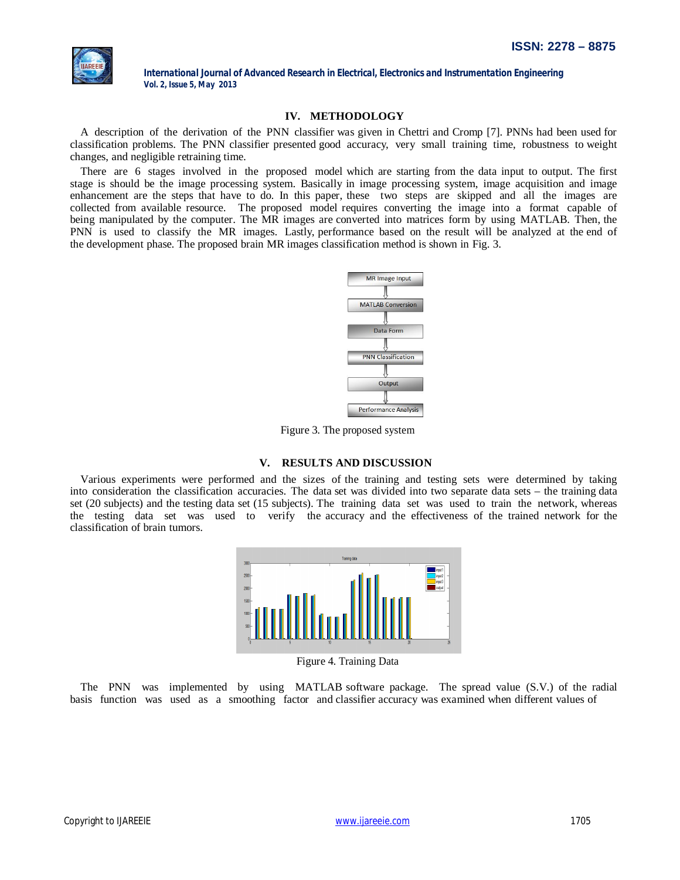

## **IV. METHODOLOGY**

A description of the derivation of the PNN classifier was given in Chettri and Cromp [7]. PNNs had been used for classification problems. The PNN classifier presented good accuracy, very small training time, robustness to weight changes, and negligible retraining time.

There are 6 stages involved in the proposed model which are starting from the data input to output. The first stage is should be the image processing system. Basically in image processing system, image acquisition and image enhancement are the steps that have to do. In this paper, these two steps are skipped and all the images are collected from available resource. The proposed model requires converting the image into a format capable of being manipulated by the computer. The MR images are converted into matrices form by using MATLAB. Then, the PNN is used to classify the MR images. Lastly, performance based on the result will be analyzed at the end of the development phase. The proposed brain MR images classification method is shown in Fig. 3.



Figure 3. The proposed system

#### **V. RESULTS AND DISCUSSION**

Various experiments were performed and the sizes of the training and testing sets were determined by taking into consideration the classification accuracies. The data set was divided into two separate data sets – the training data set (20 subjects) and the testing data set (15 subjects). The training data set was used to train the network, whereas the testing data set was used to verify the accuracy and the effectiveness of the trained network for the classification of brain tumors.



Figure 4. Training Data

The PNN was implemented by using MATLAB software package. The spread value (S.V.) of the radial basis function was used as a smoothing factor and classifier accuracy was examined when different values of